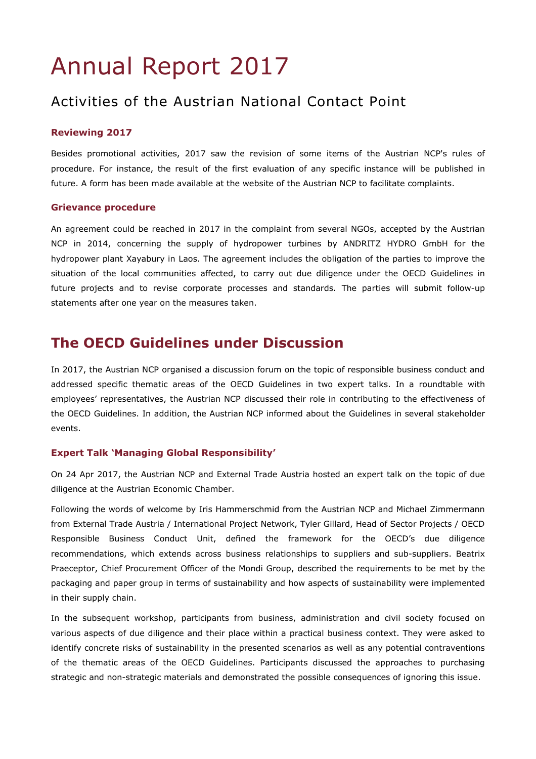# Annual Report 2017

# Activities of the Austrian National Contact Point

# **Reviewing 2017**

Besides promotional activities, 2017 saw the revision of some items of the Austrian NCP's rules of procedure. For instance, the result of the first evaluation of any specific instance will be published in future. A form has been made available at the website of the Austrian NCP to facilitate complaints.

## **Grievance procedure**

An agreement could be reached in 2017 in the complaint from several NGOs, accepted by the Austrian NCP in 2014, concerning the supply of hydropower turbines by ANDRITZ HYDRO GmbH for the hydropower plant Xayabury in Laos. The agreement includes the obligation of the parties to improve the situation of the local communities affected, to carry out due diligence under the OECD Guidelines in future projects and to revise corporate processes and standards. The parties will submit follow-up statements after one year on the measures taken.

# **The OECD Guidelines under Discussion**

In 2017, the Austrian NCP organised a discussion forum on the topic of responsible business conduct and addressed specific thematic areas of the OECD Guidelines in two expert talks. In a roundtable with employees' representatives, the Austrian NCP discussed their role in contributing to the effectiveness of the OECD Guidelines. In addition, the Austrian NCP informed about the Guidelines in several stakeholder events.

# **Expert Talk 'Managing Global Responsibility'**

On 24 Apr 2017, the Austrian NCP and External Trade Austria hosted an expert talk on the topic of due diligence at the Austrian Economic Chamber.

Following the words of welcome by Iris Hammerschmid from the Austrian NCP and Michael Zimmermann from External Trade Austria / International Project Network, Tyler Gillard, Head of Sector Projects / OECD Responsible Business Conduct Unit, defined the framework for the OECD's due diligence recommendations, which extends across business relationships to suppliers and sub-suppliers. Beatrix Praeceptor, Chief Procurement Officer of the Mondi Group, described the requirements to be met by the packaging and paper group in terms of sustainability and how aspects of sustainability were implemented in their supply chain.

In the subsequent workshop, participants from business, administration and civil society focused on various aspects of due diligence and their place within a practical business context. They were asked to identify concrete risks of sustainability in the presented scenarios as well as any potential contraventions of the thematic areas of the OECD Guidelines. Participants discussed the approaches to purchasing strategic and non-strategic materials and demonstrated the possible consequences of ignoring this issue.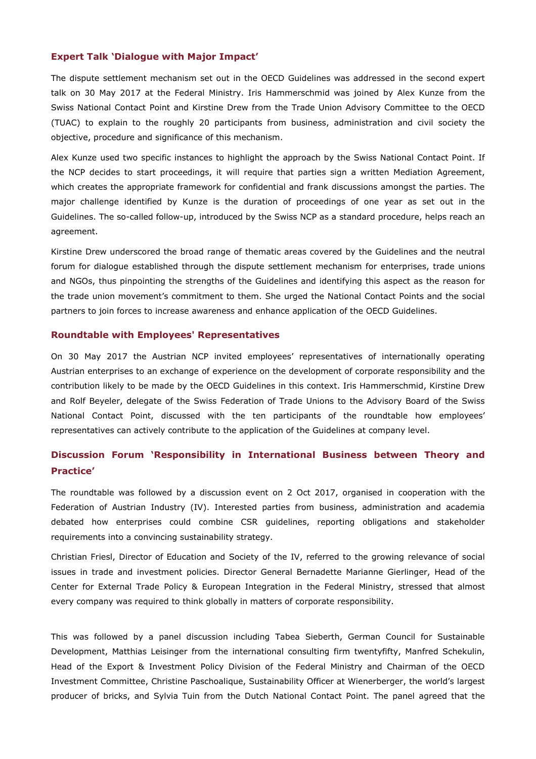#### **Expert Talk 'Dialogue with Major Impact'**

The dispute settlement mechanism set out in the OECD Guidelines was addressed in the second expert talk on 30 May 2017 at the Federal Ministry. Iris Hammerschmid was joined by Alex Kunze from the Swiss National Contact Point and Kirstine Drew from the Trade Union Advisory Committee to the OECD (TUAC) to explain to the roughly 20 participants from business, administration and civil society the objective, procedure and significance of this mechanism.

Alex Kunze used two specific instances to highlight the approach by the Swiss National Contact Point. If the NCP decides to start proceedings, it will require that parties sign a written Mediation Agreement, which creates the appropriate framework for confidential and frank discussions amongst the parties. The major challenge identified by Kunze is the duration of proceedings of one year as set out in the Guidelines. The so-called follow-up, introduced by the Swiss NCP as a standard procedure, helps reach an agreement.

Kirstine Drew underscored the broad range of thematic areas covered by the Guidelines and the neutral forum for dialogue established through the dispute settlement mechanism for enterprises, trade unions and NGOs, thus pinpointing the strengths of the Guidelines and identifying this aspect as the reason for the trade union movement's commitment to them. She urged the National Contact Points and the social partners to join forces to increase awareness and enhance application of the OECD Guidelines.

#### **Roundtable with Employees' Representatives**

On 30 May 2017 the Austrian NCP invited employees' representatives of internationally operating Austrian enterprises to an exchange of experience on the development of corporate responsibility and the contribution likely to be made by the OECD Guidelines in this context. Iris Hammerschmid, Kirstine Drew and Rolf Beyeler, delegate of the Swiss Federation of Trade Unions to the Advisory Board of the Swiss National Contact Point, discussed with the ten participants of the roundtable how employees' representatives can actively contribute to the application of the Guidelines at company level.

# **Discussion Forum 'Responsibility in International Business between Theory and Practice'**

The roundtable was followed by a discussion event on 2 Oct 2017, organised in cooperation with the Federation of Austrian Industry (IV). Interested parties from business, administration and academia debated how enterprises could combine CSR guidelines, reporting obligations and stakeholder requirements into a convincing sustainability strategy.

Christian Friesl, Director of Education and Society of the IV, referred to the growing relevance of social issues in trade and investment policies. Director General Bernadette Marianne Gierlinger, Head of the Center for External Trade Policy & European Integration in the Federal Ministry, stressed that almost every company was required to think globally in matters of corporate responsibility.

This was followed by a panel discussion including Tabea Sieberth, German Council for Sustainable Development, Matthias Leisinger from the international consulting firm twentyfifty, Manfred Schekulin, Head of the Export & Investment Policy Division of the Federal Ministry and Chairman of the OECD Investment Committee, Christine Paschoalique, Sustainability Officer at Wienerberger, the world's largest producer of bricks, and Sylvia Tuin from the Dutch National Contact Point. The panel agreed that the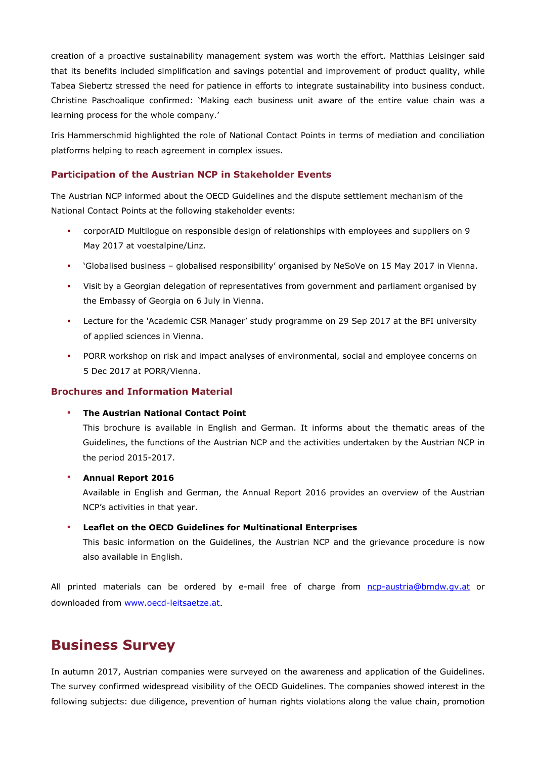creation of a proactive sustainability management system was worth the effort. Matthias Leisinger said that its benefits included simplification and savings potential and improvement of product quality, while Tabea Siebertz stressed the need for patience in efforts to integrate sustainability into business conduct. Christine Paschoalique confirmed: 'Making each business unit aware of the entire value chain was a learning process for the whole company.'

Iris Hammerschmid highlighted the role of National Contact Points in terms of mediation and conciliation platforms helping to reach agreement in complex issues.

# **Participation of the Austrian NCP in Stakeholder Events**

The Austrian NCP informed about the OECD Guidelines and the dispute settlement mechanism of the National Contact Points at the following stakeholder events:

- corporAID Multilogue on responsible design of relationships with employees and suppliers on 9 May 2017 at voestalpine/Linz.
- 'Globalised business globalised responsibility' organised by NeSoVe on 15 May 2017 in Vienna.
- Visit by a Georgian delegation of representatives from government and parliament organised by the Embassy of Georgia on 6 July in Vienna.
- Lecture for the 'Academic CSR Manager' study programme on 29 Sep 2017 at the BFI university of applied sciences in Vienna.
- PORR workshop on risk and impact analyses of environmental, social and employee concerns on 5 Dec 2017 at PORR/Vienna.

## **Brochures and Information Material**

**The Austrian National Contact Point** 

This brochure is available in English and German. It informs about the thematic areas of the Guidelines, the functions of the Austrian NCP and the activities undertaken by the Austrian NCP in the period 2015-2017.

#### **Annual Report 2016**

Available in English and German, the Annual Report 2016 provides an overview of the Austrian NCP's activities in that year.

#### **Leaflet on the OECD Guidelines for Multinational Enterprises**

This basic information on the Guidelines, the Austrian NCP and the grievance procedure is now also available in English.

All printed materials can be ordered by e-mail free of charge from [ncp-austria@bmdw.gv.at](mailto:ncp-austria@bmdw.gv.at) or downloaded from [www.oecd-leitsaetze.at](http://www.oecd-leitsaetze.at/).

# **Business Survey**

In autumn 2017, Austrian companies were surveyed on the awareness and application of the Guidelines. The survey confirmed widespread visibility of the OECD Guidelines. The companies showed interest in the following subjects: due diligence, prevention of human rights violations along the value chain, promotion